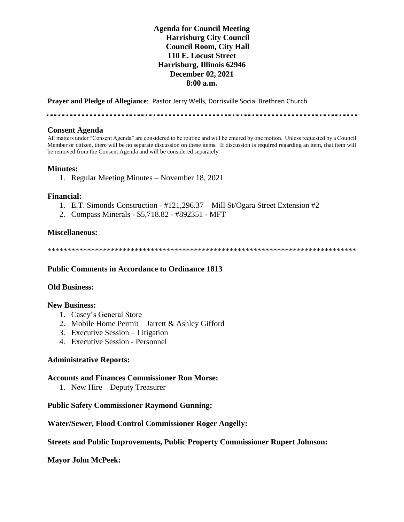## **Agenda for Council Meeting Harrisburg City Council Council Room, City Hall 110 E. Locust Street Harrisburg, Illinois 62946 December 02, 2021 8:00 a.m.**

**Prayer and Pledge of Allegiance**: Pastor Jerry Wells, Dorrisville Social Brethren Church

### **Consent Agenda**

All matters under "Consent Agenda" are considered to be routine and will be entered by one motion. Unless requested by a Council Member or citizen, there will be no separate discussion on these items. If discussion is required regarding an item, that item will be removed from the Consent Agenda and will be considered separately.

### **Minutes:**

1. Regular Meeting Minutes – November 18, 2021

### **Financial:**

- 1. E.T. Simonds Construction #121,296.37 Mill St/Ogara Street Extension #2
- 2. Compass Minerals \$5,718.82 #892351 MFT

### **Miscellaneous:**

\*\*\*\*\*\*\*\*\*\*\*\*\*\*\*\*\*\*\*\*\*\*\*\*\*\*\*\*\*\*\*\*\*\*\*\*\*\*\*\*\*\*\*\*\*\*\*\*\*\*\*\*\*\*\*\*\*\*\*\*\*\*\*\*\*\*\*\*\*\*\*\*\*\*\*\*\*\*

### **Public Comments in Accordance to Ordinance 1813**

### **Old Business:**

#### **New Business:**

- 1. Casey's General Store
- 2. Mobile Home Permit Jarrett & Ashley Gifford
- 3. Executive Session Litigation
- 4. Executive Session Personnel

### **Administrative Reports:**

### **Accounts and Finances Commissioner Ron Morse:**

1. New Hire – Deputy Treasurer

### **Public Safety Commissioner Raymond Gunning:**

### **Water/Sewer, Flood Control Commissioner Roger Angelly:**

### **Streets and Public Improvements, Public Property Commissioner Rupert Johnson:**

**Mayor John McPeek:**